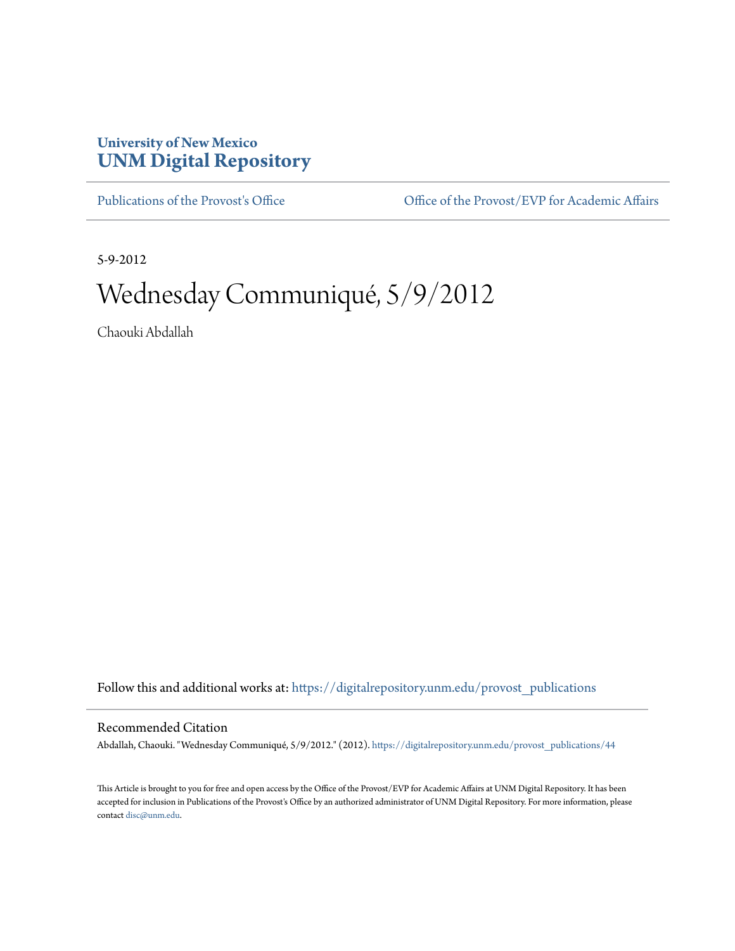## **University of New Mexico [UNM Digital Repository](https://digitalrepository.unm.edu?utm_source=digitalrepository.unm.edu%2Fprovost_publications%2F44&utm_medium=PDF&utm_campaign=PDFCoverPages)**

[Publications of the Provost's Office](https://digitalrepository.unm.edu/provost_publications?utm_source=digitalrepository.unm.edu%2Fprovost_publications%2F44&utm_medium=PDF&utm_campaign=PDFCoverPages) Office [Office of the Provost/EVP for Academic Affairs](https://digitalrepository.unm.edu/ofc_provost?utm_source=digitalrepository.unm.edu%2Fprovost_publications%2F44&utm_medium=PDF&utm_campaign=PDFCoverPages)

5-9-2012

# Wednesday Communiqué, 5/9/2012

Chaouki Abdallah

Follow this and additional works at: [https://digitalrepository.unm.edu/provost\\_publications](https://digitalrepository.unm.edu/provost_publications?utm_source=digitalrepository.unm.edu%2Fprovost_publications%2F44&utm_medium=PDF&utm_campaign=PDFCoverPages)

#### Recommended Citation

Abdallah, Chaouki. "Wednesday Communiqué, 5/9/2012." (2012). [https://digitalrepository.unm.edu/provost\\_publications/44](https://digitalrepository.unm.edu/provost_publications/44?utm_source=digitalrepository.unm.edu%2Fprovost_publications%2F44&utm_medium=PDF&utm_campaign=PDFCoverPages)

This Article is brought to you for free and open access by the Office of the Provost/EVP for Academic Affairs at UNM Digital Repository. It has been accepted for inclusion in Publications of the Provost's Office by an authorized administrator of UNM Digital Repository. For more information, please contact [disc@unm.edu.](mailto:disc@unm.edu)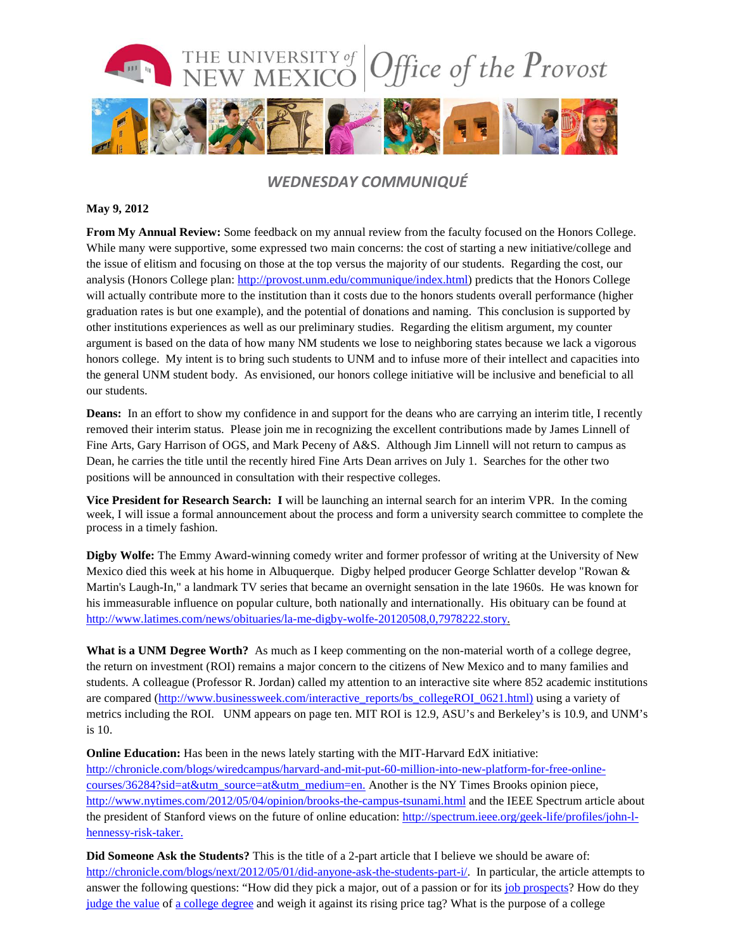

### *WEDNESDAY COMMUNIQUÉ*

#### **May 9, 2012**

**From My Annual Review:** Some feedback on my annual review from the faculty focused on the Honors College. While many were supportive, some expressed two main concerns: the cost of starting a new initiative/college and the issue of elitism and focusing on those at the top versus the majority of our students. Regarding the cost, our analysis (Honors College plan: [http://provost.unm.edu/communique/index.html\)](http://provost.unm.edu/communique/index.html) predicts that the Honors College will actually contribute more to the institution than it costs due to the honors students overall performance (higher graduation rates is but one example), and the potential of donations and naming. This conclusion is supported by other institutions experiences as well as our preliminary studies. Regarding the elitism argument, my counter argument is based on the data of how many NM students we lose to neighboring states because we lack a vigorous honors college. My intent is to bring such students to UNM and to infuse more of their intellect and capacities into the general UNM student body. As envisioned, our honors college initiative will be inclusive and beneficial to all our students.

**Deans:** In an effort to show my confidence in and support for the deans who are carrying an interim title, I recently removed their interim status. Please join me in recognizing the excellent contributions made by James Linnell of Fine Arts, Gary Harrison of OGS, and Mark Peceny of A&S. Although Jim Linnell will not return to campus as Dean, he carries the title until the recently hired Fine Arts Dean arrives on July 1. Searches for the other two positions will be announced in consultation with their respective colleges.

**Vice President for Research Search: I** will be launching an internal search for an interim VPR. In the coming week, I will issue a formal announcement about the process and form a university search committee to complete the process in a timely fashion.

**Digby Wolfe:** The Emmy Award-winning [comedy](http://www.latimes.com/topic/arts-culture/genres/comedy-%28genre%29-010000000943.topic) writer and former professor of writing at the University of New Mexico died this week at his home in Albuquerque. Digby helped produce[r George Schlatter](http://www.latimes.com/topic/entertainment/george-schlatter-PECLB00000010627.topic) develop "Rowan & Martin's Laugh-In," a landmark TV series that became an overnight sensation in the late 1960s. He was known for his immeasurable influence on popular culture, both nationally and internationally. His obituary can be found at [http://www.latimes.com/news/obituaries/la-me-digby-wolfe-20120508,0,7978222.story.](http://www.latimes.com/news/obituaries/la-me-digby-wolfe-20120508,0,7978222.story)

**What is a UNM Degree Worth?** As much as I keep commenting on the non-material worth of a college degree, the return on investment (ROI) remains a major concern to the citizens of New Mexico and to many families and students. A colleague (Professor R. Jordan) called my attention to an interactive site where 852 academic institutions are compared [\(http://www.businessweek.com/interactive\\_reports/bs\\_collegeROI\\_0621.html\)](http://www.businessweek.com/interactive_reports/bs_collegeROI_0621.html) using a variety of metrics including the ROI. UNM appears on page ten. MIT ROI is 12.9, ASU's and Berkeley's is 10.9, and UNM's is 10.

**Online Education:** Has been in the news lately starting with the MIT-Harvard EdX initiative: [http://chronicle.com/blogs/wiredcampus/harvard-and-mit-put-60-million-into-new-platform-for-free-online](http://chronicle.com/blogs/wiredcampus/harvard-and-mit-put-60-million-into-new-platform-for-free-online-courses/36284?sid=at&utm_source=at&utm_medium=en)[courses/36284?sid=at&utm\\_source=at&utm\\_medium=en.](http://chronicle.com/blogs/wiredcampus/harvard-and-mit-put-60-million-into-new-platform-for-free-online-courses/36284?sid=at&utm_source=at&utm_medium=en) Another is the NY Times Brooks opinion piece, <http://www.nytimes.com/2012/05/04/opinion/brooks-the-campus-tsunami.html> and the IEEE Spectrum article about the president of Stanford views on the future of online education: [http://spectrum.ieee.org/geek-life/profiles/john-l](http://spectrum.ieee.org/geek-life/profiles/john-l-hennessy-risk-taker)[hennessy-risk-taker.](http://spectrum.ieee.org/geek-life/profiles/john-l-hennessy-risk-taker)

**Did Someone Ask the Students?** This is the title of a 2-part article that I believe we should be aware of: [http://chronicle.com/blogs/next/2012/05/01/did-anyone-ask-the-students-part-i/.](http://chronicle.com/blogs/next/2012/05/01/did-anyone-ask-the-students-part-i/) In particular, the article attempts to answer the following questions: "How did they pick a major, out of a passion or for its [job prospects?](http://chronicle.com/article/Unemployment-Varies-by-College/130212/) How do they [judge the value](http://chronicle.com/article/Whats-a-Degree-Worth-Report/127612/) of [a college degree](http://chronicle.com/article/Its-More-Than-Just-the/127534/) and weigh it against its rising price tag? What is the purpose of a college